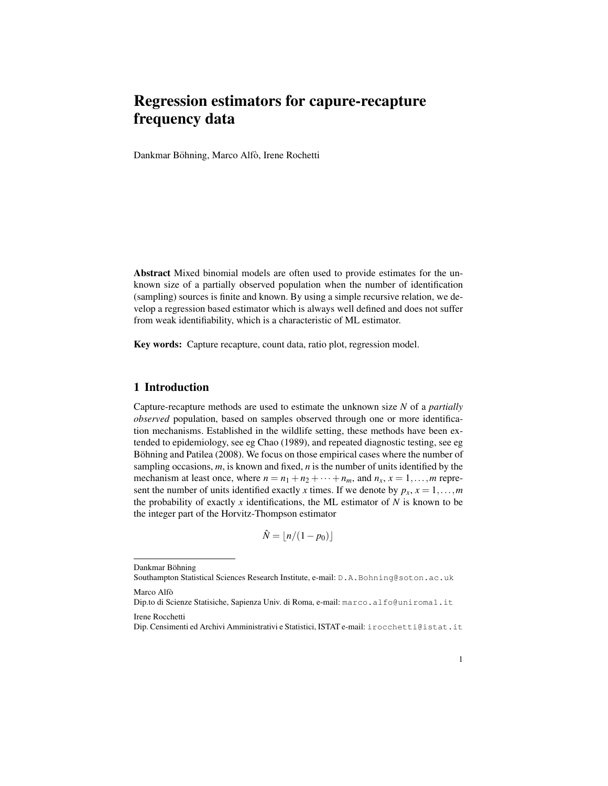# Regression estimators for capure-recapture frequency data

Dankmar Böhning, Marco Alfò, Irene Rochetti

Abstract Mixed binomial models are often used to provide estimates for the unknown size of a partially observed population when the number of identification (sampling) sources is finite and known. By using a simple recursive relation, we develop a regression based estimator which is always well defined and does not suffer from weak identifiability, which is a characteristic of ML estimator.

Key words: Capture recapture, count data, ratio plot, regression model.

### 1 Introduction

Capture-recapture methods are used to estimate the unknown size *N* of a *partially observed* population, based on samples observed through one or more identification mechanisms. Established in the wildlife setting, these methods have been extended to epidemiology, see eg Chao (1989), and repeated diagnostic testing, see eg Böhning and Patilea (2008). We focus on those empirical cases where the number of sampling occasions, *m*, is known and fixed, *n* is the number of units identified by the mechanism at least once, where  $n = n_1 + n_2 + \cdots + n_m$ , and  $n_x$ ,  $x = 1, \ldots, m$  represent the number of units identified exactly *x* times. If we denote by  $p_x$ ,  $x = 1,...,m$ the probability of exactly  $x$  identifications, the ML estimator of  $N$  is known to be the integer part of the Horvitz-Thompson estimator

$$
\hat{N} = \lfloor n/(1-p_0) \rfloor
$$

Dankmar Böhning

Southampton Statistical Sciences Research Institute, e-mail: D.A.Bohning@soton.ac.uk Marco Alfò

Dip.to di Scienze Statisiche, Sapienza Univ. di Roma, e-mail: marco.alfo@uniroma1.it

Irene Rocchetti

Dip. Censimenti ed Archivi Amministrativi e Statistici, ISTAT e-mail: irocchetti@istat.it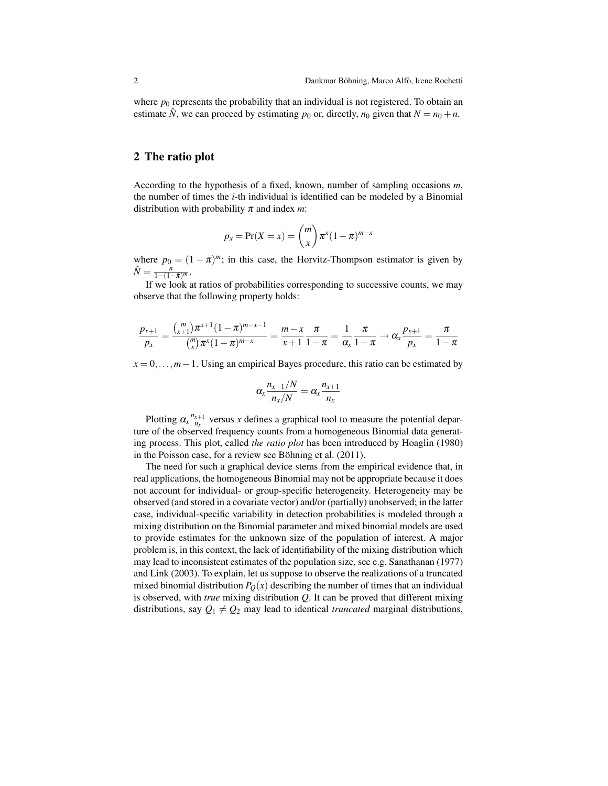where  $p_0$  represents the probability that an individual is not registered. To obtain an estimate  $\hat{N}$ , we can proceed by estimating  $p_0$  or, directly,  $n_0$  given that  $N = n_0 + n$ .

#### 2 The ratio plot

According to the hypothesis of a fixed, known, number of sampling occasions *m*, the number of times the *i*-th individual is identified can be modeled by a Binomial distribution with probability π and index *m*:

$$
p_x = \Pr(X = x) = \binom{m}{x} \pi^x (1 - \pi)^{m-x}
$$

where  $p_0 = (1 - \pi)^m$ ; in this case, the Horvitz-Thompson estimator is given by  $\hat{N} = \frac{n}{1 - (1 - \hat{\pi})^m}$ .

If we look at ratios of probabilities corresponding to successive counts, we may observe that the following property holds:

$$
\frac{p_{x+1}}{p_x} = \frac{\binom{m}{x+1}\pi^{x+1}(1-\pi)^{m-x-1}}{\binom{m}{x}\pi^x(1-\pi)^{m-x}} = \frac{m-x}{x+1}\frac{\pi}{1-\pi} = \frac{1}{\alpha_x}\frac{\pi}{1-\pi} \to \alpha_x \frac{p_{x+1}}{p_x} = \frac{\pi}{1-\pi}
$$

*x* = 0,...,*m* − 1. Using an empirical Bayes procedure, this ratio can be estimated by

$$
\alpha_x \frac{n_{x+1}/N}{n_x/N} = \alpha_x \frac{n_{x+1}}{n_x}
$$

Plotting  $\alpha_x \frac{n_{x+1}}{n_x}$  $\frac{x+1}{n_x}$  versus *x* defines a graphical tool to measure the potential departure of the observed frequency counts from a homogeneous Binomial data generating process. This plot, called *the ratio plot* has been introduced by Hoaglin (1980) in the Poisson case, for a review see Böhning et al.  $(2011)$ .

The need for such a graphical device stems from the empirical evidence that, in real applications, the homogeneous Binomial may not be appropriate because it does not account for individual- or group-specific heterogeneity. Heterogeneity may be observed (and stored in a covariate vector) and/or (partially) unobserved; in the latter case, individual-specific variability in detection probabilities is modeled through a mixing distribution on the Binomial parameter and mixed binomial models are used to provide estimates for the unknown size of the population of interest. A major problem is, in this context, the lack of identifiability of the mixing distribution which may lead to inconsistent estimates of the population size, see e.g. Sanathanan (1977) and Link (2003). To explain, let us suppose to observe the realizations of a truncated mixed binomial distribution  $P<sub>O</sub>(x)$  describing the number of times that an individual is observed, with *true* mixing distribution *Q*. It can be proved that different mixing distributions, say  $Q_1 \neq Q_2$  may lead to identical *truncated* marginal distributions,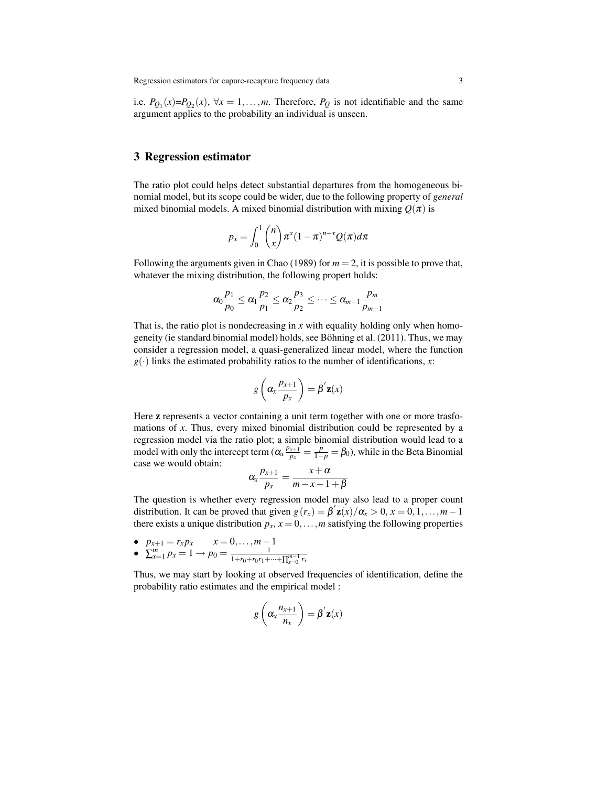i.e.  $P_{Q_1}(x) = P_{Q_2}(x)$ ,  $\forall x = 1, \ldots, m$ . Therefore,  $P_Q$  is not identifiable and the same argument applies to the probability an individual is unseen.

#### 3 Regression estimator

The ratio plot could helps detect substantial departures from the homogeneous binomial model, but its scope could be wider, due to the following property of *general* mixed binomial models. A mixed binomial distribution with mixing  $Q(\pi)$  is

$$
p_x = \int_0^1 \binom{n}{x} \pi^x (1-\pi)^{n-x} Q(\pi) d\pi
$$

Following the arguments given in Chao (1989) for  $m = 2$ , it is possible to prove that, whatever the mixing distribution, the following propert holds:

$$
\alpha_0 \frac{p_1}{p_0} \leq \alpha_1 \frac{p_2}{p_1} \leq \alpha_2 \frac{p_3}{p_2} \leq \cdots \leq \alpha_{m-1} \frac{p_m}{p_{m-1}}
$$

That is, the ratio plot is nondecreasing in *x* with equality holding only when homogeneity (ie standard binomial model) holds, see Böhning et al.  $(2011)$ . Thus, we may consider a regression model, a quasi-generalized linear model, where the function  $g(.)$  links the estimated probability ratios to the number of identifications, *x*:

$$
g\left(\alpha_x \frac{p_{x+1}}{p_x}\right) = \beta' \mathbf{z}(x)
$$

Here z represents a vector containing a unit term together with one or more trasfomations of *x*. Thus, every mixed binomial distribution could be represented by a regression model via the ratio plot; a simple binomial distribution would lead to a model with only the intercept term  $(\alpha_x \frac{p_{x+1}}{p_x})$  $\frac{p_{x+1}}{p_x} = \frac{p}{1-p} = \beta_0$ , while in the Beta Binomial case we would obtain:

$$
\alpha_x \frac{p_{x+1}}{p_x} = \frac{x+\alpha}{m-x-1+\beta}
$$

The question is whether every regression model may also lead to a proper count distribution. It can be proved that given  $g(r_x) = \beta' \mathbf{z}(x)/\alpha_x > 0, x = 0, 1, \ldots, m-1$ there exists a unique distribution  $p_x$ ,  $x = 0, \ldots, m$  satisfying the following properties

• 
$$
p_{x+1} = r_x p_x
$$
  $x = 0,..., m-1$   
\n•  $\sum_{x=1}^{m} p_x = 1 \rightarrow p_0 = \frac{1}{1 + r_0 + r_0 r_1 + .... + \Pi^m}$ 

$$
\sum_{x=1}^{r} p_x = 1 \longrightarrow p_0 = \frac{1}{1 + r_0 + r_0 r_1 + \dots + \prod_{x=0}^{m-1} r_x}
$$

Thus, we may start by looking at observed frequencies of identification, define the probability ratio estimates and the empirical model :

$$
g\left(\alpha_x \frac{n_{x+1}}{n_x}\right) = \beta' \mathbf{z}(x)
$$